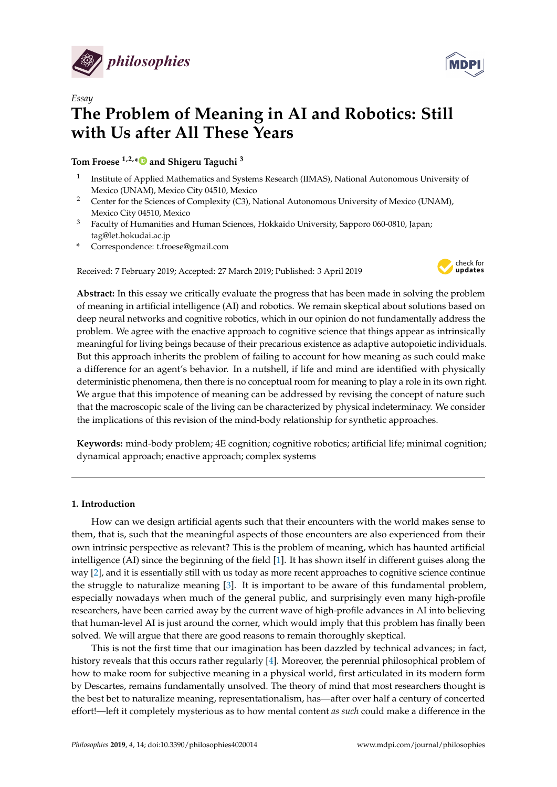

*Essay*



# **The Problem of Meaning in AI and Robotics: Still with Us after All These Years**

**Tom Froese 1,2,[\\*](https://orcid.org/0000-0002-9899-5274) and Shigeru Taguchi <sup>3</sup>**

- 1 Institute of Applied Mathematics and Systems Research (IIMAS), National Autonomous University of Mexico (UNAM), Mexico City 04510, Mexico
- <sup>2</sup> Center for the Sciences of Complexity (C3), National Autonomous University of Mexico (UNAM), Mexico City 04510, Mexico
- <sup>3</sup> Faculty of Humanities and Human Sciences, Hokkaido University, Sapporo 060-0810, Japan; tag@let.hokudai.ac.jp
- **\*** Correspondence: t.froese@gmail.com

Received: 7 February 2019; Accepted: 27 March 2019; Published: 3 April 2019



**Abstract:** In this essay we critically evaluate the progress that has been made in solving the problem of meaning in artificial intelligence (AI) and robotics. We remain skeptical about solutions based on deep neural networks and cognitive robotics, which in our opinion do not fundamentally address the problem. We agree with the enactive approach to cognitive science that things appear as intrinsically meaningful for living beings because of their precarious existence as adaptive autopoietic individuals. But this approach inherits the problem of failing to account for how meaning as such could make a difference for an agent's behavior. In a nutshell, if life and mind are identified with physically deterministic phenomena, then there is no conceptual room for meaning to play a role in its own right. We argue that this impotence of meaning can be addressed by revising the concept of nature such that the macroscopic scale of the living can be characterized by physical indeterminacy. We consider the implications of this revision of the mind-body relationship for synthetic approaches.

**Keywords:** mind-body problem; 4E cognition; cognitive robotics; artificial life; minimal cognition; dynamical approach; enactive approach; complex systems

## **1. Introduction**

How can we design artificial agents such that their encounters with the world makes sense to them, that is, such that the meaningful aspects of those encounters are also experienced from their own intrinsic perspective as relevant? This is the problem of meaning, which has haunted artificial intelligence (AI) since the beginning of the field [\[1\]](#page-9-0). It has shown itself in different guises along the way [\[2\]](#page-9-1), and it is essentially still with us today as more recent approaches to cognitive science continue the struggle to naturalize meaning [\[3\]](#page-9-2). It is important to be aware of this fundamental problem, especially nowadays when much of the general public, and surprisingly even many high-profile researchers, have been carried away by the current wave of high-profile advances in AI into believing that human-level AI is just around the corner, which would imply that this problem has finally been solved. We will argue that there are good reasons to remain thoroughly skeptical.

This is not the first time that our imagination has been dazzled by technical advances; in fact, history reveals that this occurs rather regularly [\[4\]](#page-9-3). Moreover, the perennial philosophical problem of how to make room for subjective meaning in a physical world, first articulated in its modern form by Descartes, remains fundamentally unsolved. The theory of mind that most researchers thought is the best bet to naturalize meaning, representationalism, has—after over half a century of concerted effort!—left it completely mysterious as to how mental content *as such* could make a difference in the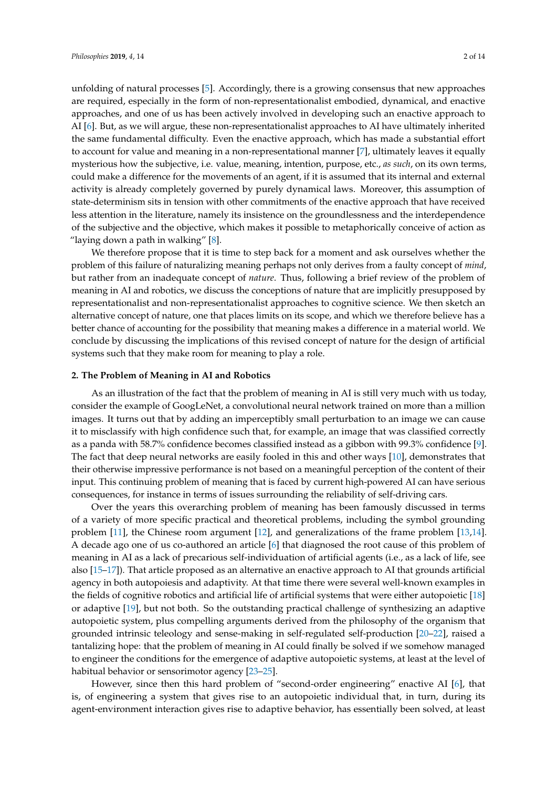unfolding of natural processes [\[5\]](#page-10-0). Accordingly, there is a growing consensus that new approaches are required, especially in the form of non-representationalist embodied, dynamical, and enactive approaches, and one of us has been actively involved in developing such an enactive approach to AI [\[6\]](#page-10-1). But, as we will argue, these non-representationalist approaches to AI have ultimately inherited the same fundamental difficulty. Even the enactive approach, which has made a substantial effort to account for value and meaning in a non-representational manner [\[7\]](#page-10-2), ultimately leaves it equally mysterious how the subjective, i.e. value, meaning, intention, purpose, etc., *as such*, on its own terms, could make a difference for the movements of an agent, if it is assumed that its internal and external activity is already completely governed by purely dynamical laws. Moreover, this assumption of state-determinism sits in tension with other commitments of the enactive approach that have received less attention in the literature, namely its insistence on the groundlessness and the interdependence of the subjective and the objective, which makes it possible to metaphorically conceive of action as "laying down a path in walking"  $[8]$ .

We therefore propose that it is time to step back for a moment and ask ourselves whether the problem of this failure of naturalizing meaning perhaps not only derives from a faulty concept of *mind*, but rather from an inadequate concept of *nature*. Thus, following a brief review of the problem of meaning in AI and robotics, we discuss the conceptions of nature that are implicitly presupposed by representationalist and non-representationalist approaches to cognitive science. We then sketch an alternative concept of nature, one that places limits on its scope, and which we therefore believe has a better chance of accounting for the possibility that meaning makes a difference in a material world. We conclude by discussing the implications of this revised concept of nature for the design of artificial systems such that they make room for meaning to play a role.

## **2. The Problem of Meaning in AI and Robotics**

As an illustration of the fact that the problem of meaning in AI is still very much with us today, consider the example of GoogLeNet, a convolutional neural network trained on more than a million images. It turns out that by adding an imperceptibly small perturbation to an image we can cause it to misclassify with high confidence such that, for example, an image that was classified correctly as a panda with 58.7% confidence becomes classified instead as a gibbon with 99.3% confidence [\[9\]](#page-10-4). The fact that deep neural networks are easily fooled in this and other ways [\[10\]](#page-10-5), demonstrates that their otherwise impressive performance is not based on a meaningful perception of the content of their input. This continuing problem of meaning that is faced by current high-powered AI can have serious consequences, for instance in terms of issues surrounding the reliability of self-driving cars.

Over the years this overarching problem of meaning has been famously discussed in terms of a variety of more specific practical and theoretical problems, including the symbol grounding problem [\[11\]](#page-10-6), the Chinese room argument [\[12\]](#page-10-7), and generalizations of the frame problem [\[13,](#page-10-8)[14\]](#page-10-9). A decade ago one of us co-authored an article [\[6\]](#page-10-1) that diagnosed the root cause of this problem of meaning in AI as a lack of precarious self-individuation of artificial agents (i.e., as a lack of life, see also [\[15](#page-10-10)[–17\]](#page-10-11)). That article proposed as an alternative an enactive approach to AI that grounds artificial agency in both autopoiesis and adaptivity. At that time there were several well-known examples in the fields of cognitive robotics and artificial life of artificial systems that were either autopoietic [\[18\]](#page-10-12) or adaptive [\[19\]](#page-10-13), but not both. So the outstanding practical challenge of synthesizing an adaptive autopoietic system, plus compelling arguments derived from the philosophy of the organism that grounded intrinsic teleology and sense-making in self-regulated self-production [\[20](#page-10-14)[–22\]](#page-10-15), raised a tantalizing hope: that the problem of meaning in AI could finally be solved if we somehow managed to engineer the conditions for the emergence of adaptive autopoietic systems, at least at the level of habitual behavior or sensorimotor agency [\[23](#page-10-16)[–25\]](#page-10-17).

However, since then this hard problem of "second-order engineering" enactive AI [\[6\]](#page-10-1), that is, of engineering a system that gives rise to an autopoietic individual that, in turn, during its agent-environment interaction gives rise to adaptive behavior, has essentially been solved, at least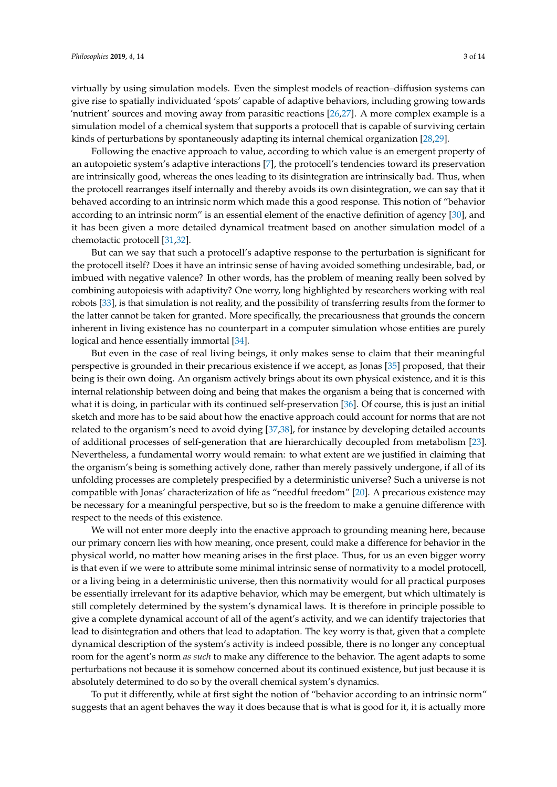virtually by using simulation models. Even the simplest models of reaction–diffusion systems can give rise to spatially individuated 'spots' capable of adaptive behaviors, including growing towards 'nutrient' sources and moving away from parasitic reactions [\[26](#page-10-18)[,27\]](#page-10-19). A more complex example is a simulation model of a chemical system that supports a protocell that is capable of surviving certain kinds of perturbations by spontaneously adapting its internal chemical organization [\[28](#page-10-20)[,29\]](#page-10-21).

Following the enactive approach to value, according to which value is an emergent property of an autopoietic system's adaptive interactions [\[7\]](#page-10-2), the protocell's tendencies toward its preservation are intrinsically good, whereas the ones leading to its disintegration are intrinsically bad. Thus, when the protocell rearranges itself internally and thereby avoids its own disintegration, we can say that it behaved according to an intrinsic norm which made this a good response. This notion of "behavior according to an intrinsic norm" is an essential element of the enactive definition of agency [\[30\]](#page-10-22), and it has been given a more detailed dynamical treatment based on another simulation model of a chemotactic protocell [\[31,](#page-11-0)[32\]](#page-11-1).

But can we say that such a protocell's adaptive response to the perturbation is significant for the protocell itself? Does it have an intrinsic sense of having avoided something undesirable, bad, or imbued with negative valence? In other words, has the problem of meaning really been solved by combining autopoiesis with adaptivity? One worry, long highlighted by researchers working with real robots [\[33\]](#page-11-2), is that simulation is not reality, and the possibility of transferring results from the former to the latter cannot be taken for granted. More specifically, the precariousness that grounds the concern inherent in living existence has no counterpart in a computer simulation whose entities are purely logical and hence essentially immortal [\[34\]](#page-11-3).

But even in the case of real living beings, it only makes sense to claim that their meaningful perspective is grounded in their precarious existence if we accept, as Jonas [\[35\]](#page-11-4) proposed, that their being is their own doing. An organism actively brings about its own physical existence, and it is this internal relationship between doing and being that makes the organism a being that is concerned with what it is doing, in particular with its continued self-preservation [\[36\]](#page-11-5). Of course, this is just an initial sketch and more has to be said about how the enactive approach could account for norms that are not related to the organism's need to avoid dying [\[37](#page-11-6)[,38\]](#page-11-7), for instance by developing detailed accounts of additional processes of self-generation that are hierarchically decoupled from metabolism [\[23\]](#page-10-16). Nevertheless, a fundamental worry would remain: to what extent are we justified in claiming that the organism's being is something actively done, rather than merely passively undergone, if all of its unfolding processes are completely prespecified by a deterministic universe? Such a universe is not compatible with Jonas' characterization of life as "needful freedom" [\[20\]](#page-10-14). A precarious existence may be necessary for a meaningful perspective, but so is the freedom to make a genuine difference with respect to the needs of this existence.

We will not enter more deeply into the enactive approach to grounding meaning here, because our primary concern lies with how meaning, once present, could make a difference for behavior in the physical world, no matter how meaning arises in the first place. Thus, for us an even bigger worry is that even if we were to attribute some minimal intrinsic sense of normativity to a model protocell, or a living being in a deterministic universe, then this normativity would for all practical purposes be essentially irrelevant for its adaptive behavior, which may be emergent, but which ultimately is still completely determined by the system's dynamical laws. It is therefore in principle possible to give a complete dynamical account of all of the agent's activity, and we can identify trajectories that lead to disintegration and others that lead to adaptation. The key worry is that, given that a complete dynamical description of the system's activity is indeed possible, there is no longer any conceptual room for the agent's norm *as such* to make any difference to the behavior. The agent adapts to some perturbations not because it is somehow concerned about its continued existence, but just because it is absolutely determined to do so by the overall chemical system's dynamics.

To put it differently, while at first sight the notion of "behavior according to an intrinsic norm" suggests that an agent behaves the way it does because that is what is good for it, it is actually more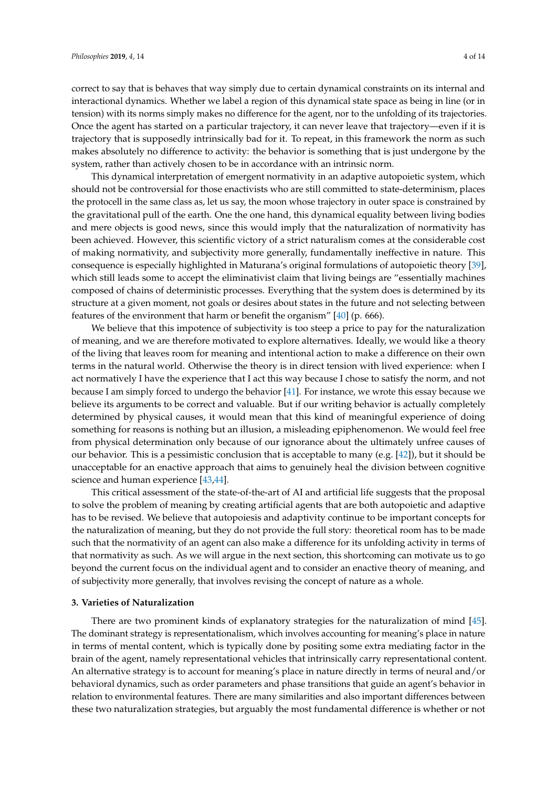correct to say that is behaves that way simply due to certain dynamical constraints on its internal and interactional dynamics. Whether we label a region of this dynamical state space as being in line (or in tension) with its norms simply makes no difference for the agent, nor to the unfolding of its trajectories. Once the agent has started on a particular trajectory, it can never leave that trajectory—even if it is trajectory that is supposedly intrinsically bad for it. To repeat, in this framework the norm as such makes absolutely no difference to activity: the behavior is something that is just undergone by the system, rather than actively chosen to be in accordance with an intrinsic norm.

This dynamical interpretation of emergent normativity in an adaptive autopoietic system, which should not be controversial for those enactivists who are still committed to state-determinism, places the protocell in the same class as, let us say, the moon whose trajectory in outer space is constrained by the gravitational pull of the earth. One the one hand, this dynamical equality between living bodies and mere objects is good news, since this would imply that the naturalization of normativity has been achieved. However, this scientific victory of a strict naturalism comes at the considerable cost of making normativity, and subjectivity more generally, fundamentally ineffective in nature. This consequence is especially highlighted in Maturana's original formulations of autopoietic theory [\[39\]](#page-11-8), which still leads some to accept the eliminativist claim that living beings are "essentially machines composed of chains of deterministic processes. Everything that the system does is determined by its structure at a given moment, not goals or desires about states in the future and not selecting between features of the environment that harm or benefit the organism" [\[40\]](#page-11-9) (p. 666).

We believe that this impotence of subjectivity is too steep a price to pay for the naturalization of meaning, and we are therefore motivated to explore alternatives. Ideally, we would like a theory of the living that leaves room for meaning and intentional action to make a difference on their own terms in the natural world. Otherwise the theory is in direct tension with lived experience: when I act normatively I have the experience that I act this way because I chose to satisfy the norm, and not because I am simply forced to undergo the behavior [\[41\]](#page-11-10). For instance, we wrote this essay because we believe its arguments to be correct and valuable. But if our writing behavior is actually completely determined by physical causes, it would mean that this kind of meaningful experience of doing something for reasons is nothing but an illusion, a misleading epiphenomenon. We would feel free from physical determination only because of our ignorance about the ultimately unfree causes of our behavior. This is a pessimistic conclusion that is acceptable to many (e.g.  $[42]$ ), but it should be unacceptable for an enactive approach that aims to genuinely heal the division between cognitive science and human experience [\[43,](#page-11-12)[44\]](#page-11-13).

This critical assessment of the state-of-the-art of AI and artificial life suggests that the proposal to solve the problem of meaning by creating artificial agents that are both autopoietic and adaptive has to be revised. We believe that autopoiesis and adaptivity continue to be important concepts for the naturalization of meaning, but they do not provide the full story: theoretical room has to be made such that the normativity of an agent can also make a difference for its unfolding activity in terms of that normativity as such. As we will argue in the next section, this shortcoming can motivate us to go beyond the current focus on the individual agent and to consider an enactive theory of meaning, and of subjectivity more generally, that involves revising the concept of nature as a whole.

#### **3. Varieties of Naturalization**

There are two prominent kinds of explanatory strategies for the naturalization of mind [\[45\]](#page-11-14). The dominant strategy is representationalism, which involves accounting for meaning's place in nature in terms of mental content, which is typically done by positing some extra mediating factor in the brain of the agent, namely representational vehicles that intrinsically carry representational content. An alternative strategy is to account for meaning's place in nature directly in terms of neural and/or behavioral dynamics, such as order parameters and phase transitions that guide an agent's behavior in relation to environmental features. There are many similarities and also important differences between these two naturalization strategies, but arguably the most fundamental difference is whether or not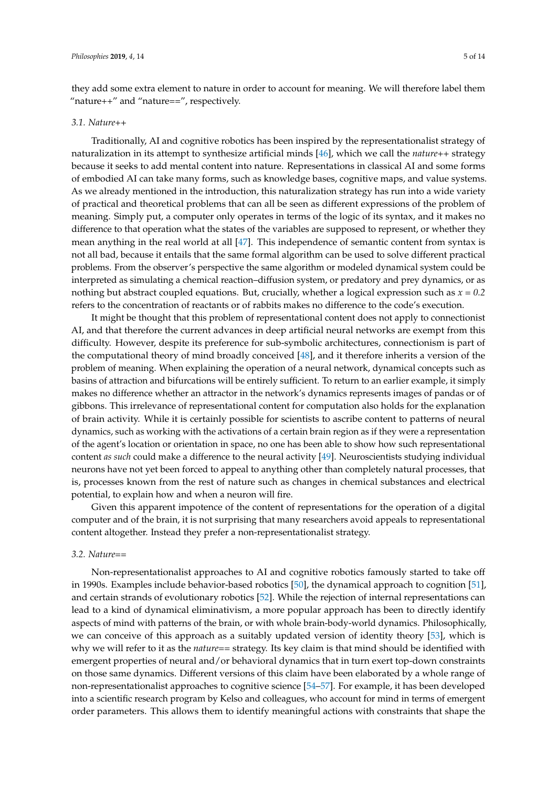they add some extra element to nature in order to account for meaning. We will therefore label them "nature++" and "nature==", respectively.

## *3.1. Nature++*

Traditionally, AI and cognitive robotics has been inspired by the representationalist strategy of naturalization in its attempt to synthesize artificial minds [\[46\]](#page-11-15), which we call the *nature++* strategy because it seeks to add mental content into nature. Representations in classical AI and some forms of embodied AI can take many forms, such as knowledge bases, cognitive maps, and value systems. As we already mentioned in the introduction, this naturalization strategy has run into a wide variety of practical and theoretical problems that can all be seen as different expressions of the problem of meaning. Simply put, a computer only operates in terms of the logic of its syntax, and it makes no difference to that operation what the states of the variables are supposed to represent, or whether they mean anything in the real world at all [\[47\]](#page-11-16). This independence of semantic content from syntax is not all bad, because it entails that the same formal algorithm can be used to solve different practical problems. From the observer's perspective the same algorithm or modeled dynamical system could be interpreted as simulating a chemical reaction–diffusion system, or predatory and prey dynamics, or as nothing but abstract coupled equations. But, crucially, whether a logical expression such as *x = 0.2* refers to the concentration of reactants or of rabbits makes no difference to the code's execution.

It might be thought that this problem of representational content does not apply to connectionist AI, and that therefore the current advances in deep artificial neural networks are exempt from this difficulty. However, despite its preference for sub-symbolic architectures, connectionism is part of the computational theory of mind broadly conceived [\[48\]](#page-11-17), and it therefore inherits a version of the problem of meaning. When explaining the operation of a neural network, dynamical concepts such as basins of attraction and bifurcations will be entirely sufficient. To return to an earlier example, it simply makes no difference whether an attractor in the network's dynamics represents images of pandas or of gibbons. This irrelevance of representational content for computation also holds for the explanation of brain activity. While it is certainly possible for scientists to ascribe content to patterns of neural dynamics, such as working with the activations of a certain brain region as if they were a representation of the agent's location or orientation in space, no one has been able to show how such representational content *as such* could make a difference to the neural activity [\[49\]](#page-11-18). Neuroscientists studying individual neurons have not yet been forced to appeal to anything other than completely natural processes, that is, processes known from the rest of nature such as changes in chemical substances and electrical potential, to explain how and when a neuron will fire.

Given this apparent impotence of the content of representations for the operation of a digital computer and of the brain, it is not surprising that many researchers avoid appeals to representational content altogether. Instead they prefer a non-representationalist strategy.

## *3.2. Nature==*

Non-representationalist approaches to AI and cognitive robotics famously started to take off in 1990s. Examples include behavior-based robotics [\[50\]](#page-11-19), the dynamical approach to cognition [\[51\]](#page-11-20), and certain strands of evolutionary robotics [\[52\]](#page-11-21). While the rejection of internal representations can lead to a kind of dynamical eliminativism, a more popular approach has been to directly identify aspects of mind with patterns of the brain, or with whole brain-body-world dynamics. Philosophically, we can conceive of this approach as a suitably updated version of identity theory [\[53\]](#page-11-22), which is why we will refer to it as the *nature==* strategy. Its key claim is that mind should be identified with emergent properties of neural and/or behavioral dynamics that in turn exert top-down constraints on those same dynamics. Different versions of this claim have been elaborated by a whole range of non-representationalist approaches to cognitive science [\[54–](#page-11-23)[57\]](#page-11-24). For example, it has been developed into a scientific research program by Kelso and colleagues, who account for mind in terms of emergent order parameters. This allows them to identify meaningful actions with constraints that shape the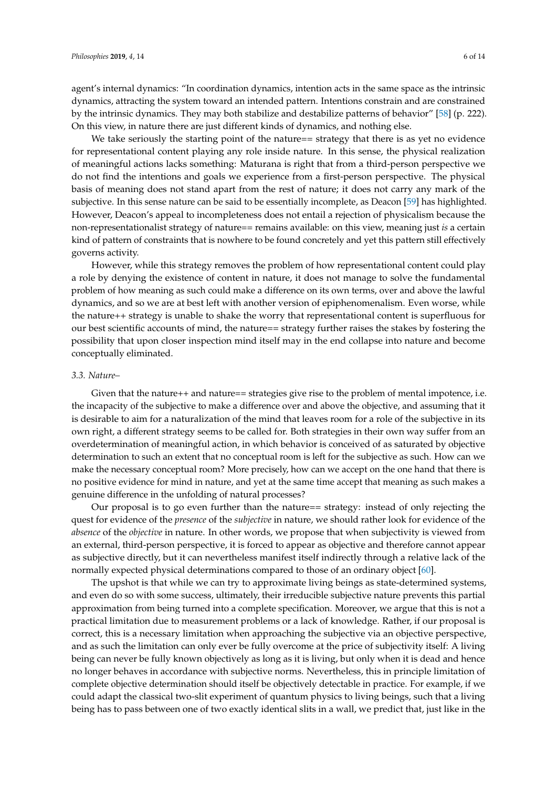agent's internal dynamics: "In coordination dynamics, intention acts in the same space as the intrinsic dynamics, attracting the system toward an intended pattern. Intentions constrain and are constrained by the intrinsic dynamics. They may both stabilize and destabilize patterns of behavior" [\[58\]](#page-11-25) (p. 222). On this view, in nature there are just different kinds of dynamics, and nothing else.

We take seriously the starting point of the nature== strategy that there is as yet no evidence for representational content playing any role inside nature. In this sense, the physical realization of meaningful actions lacks something: Maturana is right that from a third-person perspective we do not find the intentions and goals we experience from a first-person perspective. The physical basis of meaning does not stand apart from the rest of nature; it does not carry any mark of the subjective. In this sense nature can be said to be essentially incomplete, as Deacon [\[59\]](#page-11-26) has highlighted. However, Deacon's appeal to incompleteness does not entail a rejection of physicalism because the non-representationalist strategy of nature== remains available: on this view, meaning just *is* a certain kind of pattern of constraints that is nowhere to be found concretely and yet this pattern still effectively governs activity.

However, while this strategy removes the problem of how representational content could play a role by denying the existence of content in nature, it does not manage to solve the fundamental problem of how meaning as such could make a difference on its own terms, over and above the lawful dynamics, and so we are at best left with another version of epiphenomenalism. Even worse, while the nature++ strategy is unable to shake the worry that representational content is superfluous for our best scientific accounts of mind, the nature== strategy further raises the stakes by fostering the possibility that upon closer inspection mind itself may in the end collapse into nature and become conceptually eliminated.

## *3.3. Nature–*

Given that the nature++ and nature== strategies give rise to the problem of mental impotence, i.e. the incapacity of the subjective to make a difference over and above the objective, and assuming that it is desirable to aim for a naturalization of the mind that leaves room for a role of the subjective in its own right, a different strategy seems to be called for. Both strategies in their own way suffer from an overdetermination of meaningful action, in which behavior is conceived of as saturated by objective determination to such an extent that no conceptual room is left for the subjective as such. How can we make the necessary conceptual room? More precisely, how can we accept on the one hand that there is no positive evidence for mind in nature, and yet at the same time accept that meaning as such makes a genuine difference in the unfolding of natural processes?

Our proposal is to go even further than the nature== strategy: instead of only rejecting the quest for evidence of the *presence* of the *subjective* in nature, we should rather look for evidence of the *absence* of the *objective* in nature. In other words, we propose that when subjectivity is viewed from an external, third-person perspective, it is forced to appear as objective and therefore cannot appear as subjective directly, but it can nevertheless manifest itself indirectly through a relative lack of the normally expected physical determinations compared to those of an ordinary object [\[60\]](#page-12-0).

The upshot is that while we can try to approximate living beings as state-determined systems, and even do so with some success, ultimately, their irreducible subjective nature prevents this partial approximation from being turned into a complete specification. Moreover, we argue that this is not a practical limitation due to measurement problems or a lack of knowledge. Rather, if our proposal is correct, this is a necessary limitation when approaching the subjective via an objective perspective, and as such the limitation can only ever be fully overcome at the price of subjectivity itself: A living being can never be fully known objectively as long as it is living, but only when it is dead and hence no longer behaves in accordance with subjective norms. Nevertheless, this in principle limitation of complete objective determination should itself be objectively detectable in practice. For example, if we could adapt the classical two-slit experiment of quantum physics to living beings, such that a living being has to pass between one of two exactly identical slits in a wall, we predict that, just like in the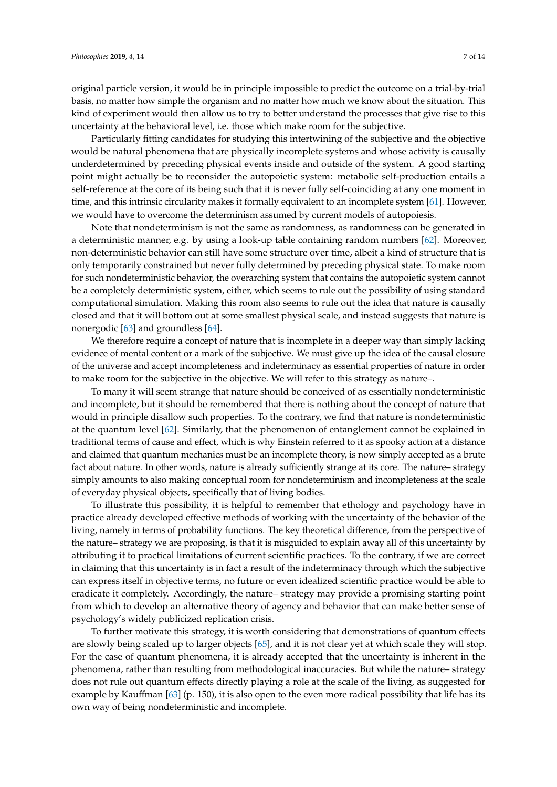original particle version, it would be in principle impossible to predict the outcome on a trial-by-trial basis, no matter how simple the organism and no matter how much we know about the situation. This kind of experiment would then allow us to try to better understand the processes that give rise to this uncertainty at the behavioral level, i.e. those which make room for the subjective.

Particularly fitting candidates for studying this intertwining of the subjective and the objective would be natural phenomena that are physically incomplete systems and whose activity is causally underdetermined by preceding physical events inside and outside of the system. A good starting point might actually be to reconsider the autopoietic system: metabolic self-production entails a self-reference at the core of its being such that it is never fully self-coinciding at any one moment in time, and this intrinsic circularity makes it formally equivalent to an incomplete system [\[61\]](#page-12-1). However, we would have to overcome the determinism assumed by current models of autopoiesis.

Note that nondeterminism is not the same as randomness, as randomness can be generated in a deterministic manner, e.g. by using a look-up table containing random numbers [\[62\]](#page-12-2). Moreover, non-deterministic behavior can still have some structure over time, albeit a kind of structure that is only temporarily constrained but never fully determined by preceding physical state. To make room for such nondeterministic behavior, the overarching system that contains the autopoietic system cannot be a completely deterministic system, either, which seems to rule out the possibility of using standard computational simulation. Making this room also seems to rule out the idea that nature is causally closed and that it will bottom out at some smallest physical scale, and instead suggests that nature is nonergodic [\[63\]](#page-12-3) and groundless [\[64\]](#page-12-4).

We therefore require a concept of nature that is incomplete in a deeper way than simply lacking evidence of mental content or a mark of the subjective. We must give up the idea of the causal closure of the universe and accept incompleteness and indeterminacy as essential properties of nature in order to make room for the subjective in the objective. We will refer to this strategy as nature–.

To many it will seem strange that nature should be conceived of as essentially nondeterministic and incomplete, but it should be remembered that there is nothing about the concept of nature that would in principle disallow such properties. To the contrary, we find that nature is nondeterministic at the quantum level [\[62\]](#page-12-2). Similarly, that the phenomenon of entanglement cannot be explained in traditional terms of cause and effect, which is why Einstein referred to it as spooky action at a distance and claimed that quantum mechanics must be an incomplete theory, is now simply accepted as a brute fact about nature. In other words, nature is already sufficiently strange at its core. The nature– strategy simply amounts to also making conceptual room for nondeterminism and incompleteness at the scale of everyday physical objects, specifically that of living bodies.

To illustrate this possibility, it is helpful to remember that ethology and psychology have in practice already developed effective methods of working with the uncertainty of the behavior of the living, namely in terms of probability functions. The key theoretical difference, from the perspective of the nature– strategy we are proposing, is that it is misguided to explain away all of this uncertainty by attributing it to practical limitations of current scientific practices. To the contrary, if we are correct in claiming that this uncertainty is in fact a result of the indeterminacy through which the subjective can express itself in objective terms, no future or even idealized scientific practice would be able to eradicate it completely. Accordingly, the nature– strategy may provide a promising starting point from which to develop an alternative theory of agency and behavior that can make better sense of psychology's widely publicized replication crisis.

To further motivate this strategy, it is worth considering that demonstrations of quantum effects are slowly being scaled up to larger objects [\[65\]](#page-12-5), and it is not clear yet at which scale they will stop. For the case of quantum phenomena, it is already accepted that the uncertainty is inherent in the phenomena, rather than resulting from methodological inaccuracies. But while the nature– strategy does not rule out quantum effects directly playing a role at the scale of the living, as suggested for example by Kauffman [\[63\]](#page-12-3) (p. 150), it is also open to the even more radical possibility that life has its own way of being nondeterministic and incomplete.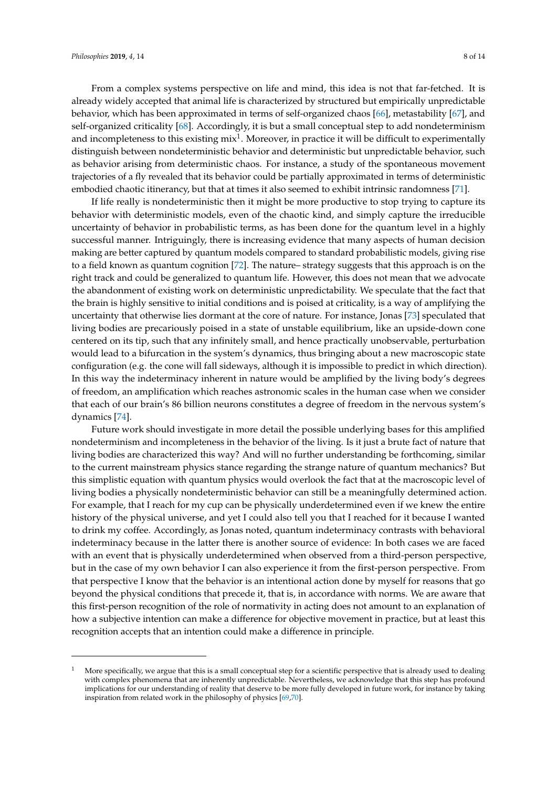From a complex systems perspective on life and mind, this idea is not that far-fetched. It is already widely accepted that animal life is characterized by structured but empirically unpredictable behavior, which has been approximated in terms of self-organized chaos [\[66\]](#page-12-6), metastability [\[67\]](#page-12-7), and self-organized criticality [\[68\]](#page-12-8). Accordingly, it is but a small conceptual step to add nondeterminism and incompleteness to this existing  $mix^1$ . Moreover, in practice it will be difficult to experimentally distinguish between nondeterministic behavior and deterministic but unpredictable behavior, such as behavior arising from deterministic chaos. For instance, a study of the spontaneous movement trajectories of a fly revealed that its behavior could be partially approximated in terms of deterministic embodied chaotic itinerancy, but that at times it also seemed to exhibit intrinsic randomness [\[71\]](#page-12-9).

If life really is nondeterministic then it might be more productive to stop trying to capture its behavior with deterministic models, even of the chaotic kind, and simply capture the irreducible uncertainty of behavior in probabilistic terms, as has been done for the quantum level in a highly successful manner. Intriguingly, there is increasing evidence that many aspects of human decision making are better captured by quantum models compared to standard probabilistic models, giving rise to a field known as quantum cognition [\[72\]](#page-12-10). The nature– strategy suggests that this approach is on the right track and could be generalized to quantum life. However, this does not mean that we advocate the abandonment of existing work on deterministic unpredictability. We speculate that the fact that the brain is highly sensitive to initial conditions and is poised at criticality, is a way of amplifying the uncertainty that otherwise lies dormant at the core of nature. For instance, Jonas [\[73\]](#page-12-11) speculated that living bodies are precariously poised in a state of unstable equilibrium, like an upside-down cone centered on its tip, such that any infinitely small, and hence practically unobservable, perturbation would lead to a bifurcation in the system's dynamics, thus bringing about a new macroscopic state configuration (e.g. the cone will fall sideways, although it is impossible to predict in which direction). In this way the indeterminacy inherent in nature would be amplified by the living body's degrees of freedom, an amplification which reaches astronomic scales in the human case when we consider that each of our brain's 86 billion neurons constitutes a degree of freedom in the nervous system's dynamics [\[74\]](#page-12-12).

Future work should investigate in more detail the possible underlying bases for this amplified nondeterminism and incompleteness in the behavior of the living. Is it just a brute fact of nature that living bodies are characterized this way? And will no further understanding be forthcoming, similar to the current mainstream physics stance regarding the strange nature of quantum mechanics? But this simplistic equation with quantum physics would overlook the fact that at the macroscopic level of living bodies a physically nondeterministic behavior can still be a meaningfully determined action. For example, that I reach for my cup can be physically underdetermined even if we knew the entire history of the physical universe, and yet I could also tell you that I reached for it because I wanted to drink my coffee. Accordingly, as Jonas noted, quantum indeterminacy contrasts with behavioral indeterminacy because in the latter there is another source of evidence: In both cases we are faced with an event that is physically underdetermined when observed from a third-person perspective, but in the case of my own behavior I can also experience it from the first-person perspective. From that perspective I know that the behavior is an intentional action done by myself for reasons that go beyond the physical conditions that precede it, that is, in accordance with norms. We are aware that this first-person recognition of the role of normativity in acting does not amount to an explanation of how a subjective intention can make a difference for objective movement in practice, but at least this recognition accepts that an intention could make a difference in principle.

More specifically, we argue that this is a small conceptual step for a scientific perspective that is already used to dealing with complex phenomena that are inherently unpredictable. Nevertheless, we acknowledge that this step has profound implications for our understanding of reality that deserve to be more fully developed in future work, for instance by taking inspiration from related work in the philosophy of physics [\[69](#page-12-13)[,70\]](#page-12-14).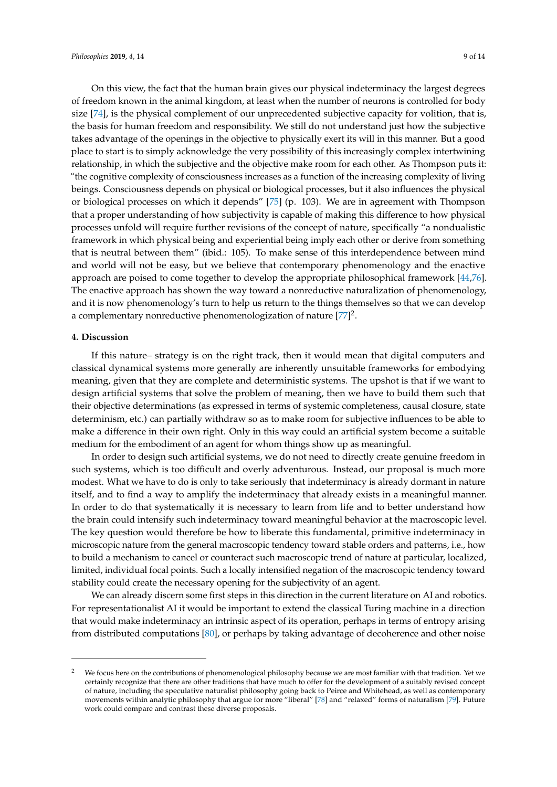On this view, the fact that the human brain gives our physical indeterminacy the largest degrees of freedom known in the animal kingdom, at least when the number of neurons is controlled for body size [\[74\]](#page-12-12), is the physical complement of our unprecedented subjective capacity for volition, that is, the basis for human freedom and responsibility. We still do not understand just how the subjective takes advantage of the openings in the objective to physically exert its will in this manner. But a good place to start is to simply acknowledge the very possibility of this increasingly complex intertwining relationship, in which the subjective and the objective make room for each other. As Thompson puts it: "the cognitive complexity of consciousness increases as a function of the increasing complexity of living beings. Consciousness depends on physical or biological processes, but it also influences the physical or biological processes on which it depends" [\[75\]](#page-12-15) (p. 103). We are in agreement with Thompson that a proper understanding of how subjectivity is capable of making this difference to how physical processes unfold will require further revisions of the concept of nature, specifically "a nondualistic framework in which physical being and experiential being imply each other or derive from something that is neutral between them" (ibid.: 105). To make sense of this interdependence between mind and world will not be easy, but we believe that contemporary phenomenology and the enactive approach are poised to come together to develop the appropriate philosophical framework [\[44,](#page-11-13)[76\]](#page-12-16). The enactive approach has shown the way toward a nonreductive naturalization of phenomenology, and it is now phenomenology's turn to help us return to the things themselves so that we can develop a complementary nonreductive phenomenologization of nature  $[77]^2$  $[77]^2$ .

#### **4. Discussion**

If this nature– strategy is on the right track, then it would mean that digital computers and classical dynamical systems more generally are inherently unsuitable frameworks for embodying meaning, given that they are complete and deterministic systems. The upshot is that if we want to design artificial systems that solve the problem of meaning, then we have to build them such that their objective determinations (as expressed in terms of systemic completeness, causal closure, state determinism, etc.) can partially withdraw so as to make room for subjective influences to be able to make a difference in their own right. Only in this way could an artificial system become a suitable medium for the embodiment of an agent for whom things show up as meaningful.

In order to design such artificial systems, we do not need to directly create genuine freedom in such systems, which is too difficult and overly adventurous. Instead, our proposal is much more modest. What we have to do is only to take seriously that indeterminacy is already dormant in nature itself, and to find a way to amplify the indeterminacy that already exists in a meaningful manner. In order to do that systematically it is necessary to learn from life and to better understand how the brain could intensify such indeterminacy toward meaningful behavior at the macroscopic level. The key question would therefore be how to liberate this fundamental, primitive indeterminacy in microscopic nature from the general macroscopic tendency toward stable orders and patterns, i.e., how to build a mechanism to cancel or counteract such macroscopic trend of nature at particular, localized, limited, individual focal points. Such a locally intensified negation of the macroscopic tendency toward stability could create the necessary opening for the subjectivity of an agent.

We can already discern some first steps in this direction in the current literature on AI and robotics. For representationalist AI it would be important to extend the classical Turing machine in a direction that would make indeterminacy an intrinsic aspect of its operation, perhaps in terms of entropy arising from distributed computations [\[80\]](#page-12-18), or perhaps by taking advantage of decoherence and other noise

<sup>2</sup> We focus here on the contributions of phenomenological philosophy because we are most familiar with that tradition. Yet we certainly recognize that there are other traditions that have much to offer for the development of a suitably revised concept of nature, including the speculative naturalist philosophy going back to Peirce and Whitehead, as well as contemporary movements within analytic philosophy that argue for more "liberal" [\[78\]](#page-12-19) and "relaxed" forms of naturalism [\[79\]](#page-12-20). Future work could compare and contrast these diverse proposals.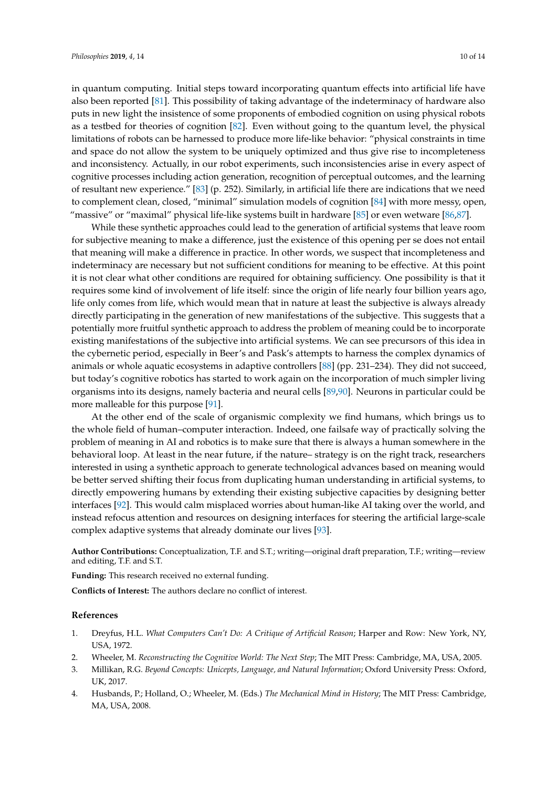in quantum computing. Initial steps toward incorporating quantum effects into artificial life have also been reported [\[81\]](#page-12-21). This possibility of taking advantage of the indeterminacy of hardware also puts in new light the insistence of some proponents of embodied cognition on using physical robots as a testbed for theories of cognition [\[82\]](#page-12-22). Even without going to the quantum level, the physical limitations of robots can be harnessed to produce more life-like behavior: "physical constraints in time and space do not allow the system to be uniquely optimized and thus give rise to incompleteness and inconsistency. Actually, in our robot experiments, such inconsistencies arise in every aspect of cognitive processes including action generation, recognition of perceptual outcomes, and the learning of resultant new experience." [\[83\]](#page-12-23) (p. 252). Similarly, in artificial life there are indications that we need to complement clean, closed, "minimal" simulation models of cognition [\[84\]](#page-12-24) with more messy, open, "massive" or "maximal" physical life-like systems built in hardware  $[85]$  or even wetware  $[86,87]$  $[86,87]$ .

While these synthetic approaches could lead to the generation of artificial systems that leave room for subjective meaning to make a difference, just the existence of this opening per se does not entail that meaning will make a difference in practice. In other words, we suspect that incompleteness and indeterminacy are necessary but not sufficient conditions for meaning to be effective. At this point it is not clear what other conditions are required for obtaining sufficiency. One possibility is that it requires some kind of involvement of life itself: since the origin of life nearly four billion years ago, life only comes from life, which would mean that in nature at least the subjective is always already directly participating in the generation of new manifestations of the subjective. This suggests that a potentially more fruitful synthetic approach to address the problem of meaning could be to incorporate existing manifestations of the subjective into artificial systems. We can see precursors of this idea in the cybernetic period, especially in Beer's and Pask's attempts to harness the complex dynamics of animals or whole aquatic ecosystems in adaptive controllers [\[88\]](#page-13-0) (pp. 231–234). They did not succeed, but today's cognitive robotics has started to work again on the incorporation of much simpler living organisms into its designs, namely bacteria and neural cells [\[89,](#page-13-1)[90\]](#page-13-2). Neurons in particular could be more malleable for this purpose [\[91\]](#page-13-3).

At the other end of the scale of organismic complexity we find humans, which brings us to the whole field of human–computer interaction. Indeed, one failsafe way of practically solving the problem of meaning in AI and robotics is to make sure that there is always a human somewhere in the behavioral loop. At least in the near future, if the nature– strategy is on the right track, researchers interested in using a synthetic approach to generate technological advances based on meaning would be better served shifting their focus from duplicating human understanding in artificial systems, to directly empowering humans by extending their existing subjective capacities by designing better interfaces [\[92\]](#page-13-4). This would calm misplaced worries about human-like AI taking over the world, and instead refocus attention and resources on designing interfaces for steering the artificial large-scale complex adaptive systems that already dominate our lives [\[93\]](#page-13-5).

**Author Contributions:** Conceptualization, T.F. and S.T.; writing—original draft preparation, T.F.; writing—review and editing, T.F. and S.T.

**Funding:** This research received no external funding.

**Conflicts of Interest:** The authors declare no conflict of interest.

#### **References**

- <span id="page-9-0"></span>1. Dreyfus, H.L. *What Computers Can't Do: A Critique of Artificial Reason*; Harper and Row: New York, NY, USA, 1972.
- <span id="page-9-1"></span>2. Wheeler, M. *Reconstructing the Cognitive World: The Next Step*; The MIT Press: Cambridge, MA, USA, 2005.
- <span id="page-9-2"></span>3. Millikan, R.G. *Beyond Concepts: Unicepts, Language, and Natural Information*; Oxford University Press: Oxford, UK, 2017.
- <span id="page-9-3"></span>4. Husbands, P.; Holland, O.; Wheeler, M. (Eds.) *The Mechanical Mind in History*; The MIT Press: Cambridge, MA, USA, 2008.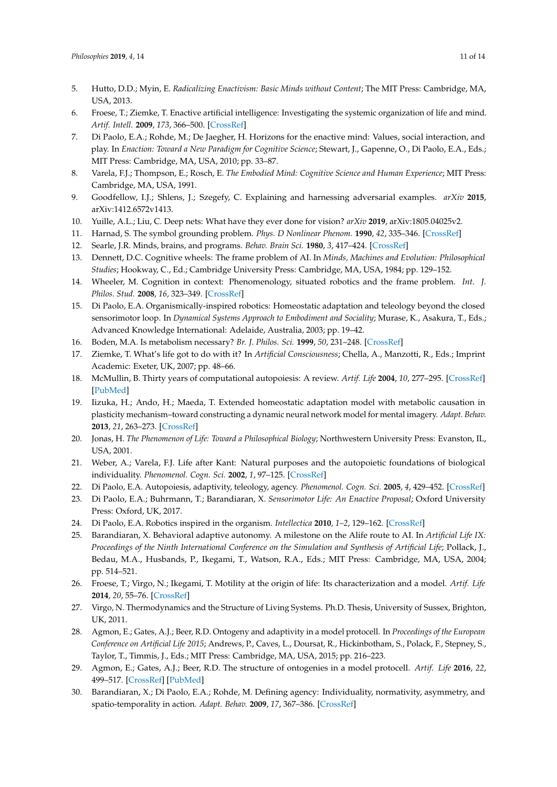- <span id="page-10-0"></span>5. Hutto, D.D.; Myin, E. *Radicalizing Enactivism: Basic Minds without Content*; The MIT Press: Cambridge, MA, USA, 2013.
- <span id="page-10-1"></span>6. Froese, T.; Ziemke, T. Enactive artificial intelligence: Investigating the systemic organization of life and mind. *Artif. Intell.* **2009**, *173*, 366–500. [\[CrossRef\]](http://dx.doi.org/10.1016/j.artint.2008.12.001)
- <span id="page-10-2"></span>7. Di Paolo, E.A.; Rohde, M.; De Jaegher, H. Horizons for the enactive mind: Values, social interaction, and play. In *Enaction: Toward a New Paradigm for Cognitive Science*; Stewart, J., Gapenne, O., Di Paolo, E.A., Eds.; MIT Press: Cambridge, MA, USA, 2010; pp. 33–87.
- <span id="page-10-3"></span>8. Varela, F.J.; Thompson, E.; Rosch, E. *The Embodied Mind: Cognitive Science and Human Experience*; MIT Press: Cambridge, MA, USA, 1991.
- <span id="page-10-4"></span>9. Goodfellow, I.J.; Shlens, J.; Szegefy, C. Explaining and harnessing adversarial examples. *arXiv* **2015**, arXiv:1412.6572v1413.
- <span id="page-10-5"></span>10. Yuille, A.L.; Liu, C. Deep nets: What have they ever done for vision? *arXiv* **2019**, arXiv:1805.04025v2.
- <span id="page-10-6"></span>11. Harnad, S. The symbol grounding problem. *Phys. D Nonlinear Phenom.* **1990**, *42*, 335–346. [\[CrossRef\]](http://dx.doi.org/10.1016/0167-2789(90)90087-6)
- <span id="page-10-7"></span>12. Searle, J.R. Minds, brains, and programs. *Behav. Brain Sci.* **1980**, *3*, 417–424. [\[CrossRef\]](http://dx.doi.org/10.1017/S0140525X00005756)
- <span id="page-10-8"></span>13. Dennett, D.C. Cognitive wheels: The frame problem of AI. In *Minds, Machines and Evolution: Philosophical Studies*; Hookway, C., Ed.; Cambridge University Press: Cambridge, MA, USA, 1984; pp. 129–152.
- <span id="page-10-9"></span>14. Wheeler, M. Cognition in context: Phenomenology, situated robotics and the frame problem. *Int. J. Philos. Stud.* **2008**, *16*, 323–349. [\[CrossRef\]](http://dx.doi.org/10.1080/09672550802113235)
- <span id="page-10-10"></span>15. Di Paolo, E.A. Organismically-inspired robotics: Homeostatic adaptation and teleology beyond the closed sensorimotor loop. In *Dynamical Systems Approach to Embodiment and Sociality*; Murase, K., Asakura, T., Eds.; Advanced Knowledge International: Adelaide, Australia, 2003; pp. 19–42.
- 16. Boden, M.A. Is metabolism necessary? *Br. J. Philos. Sci.* **1999**, *50*, 231–248. [\[CrossRef\]](http://dx.doi.org/10.1093/bjps/50.2.231)
- <span id="page-10-11"></span>17. Ziemke, T. What's life got to do with it? In *Artificial Consciousness*; Chella, A., Manzotti, R., Eds.; Imprint Academic: Exeter, UK, 2007; pp. 48–66.
- <span id="page-10-12"></span>18. McMullin, B. Thirty years of computational autopoiesis: A review. *Artif. Life* **2004**, *10*, 277–295. [\[CrossRef\]](http://dx.doi.org/10.1162/1064546041255548) [\[PubMed\]](http://www.ncbi.nlm.nih.gov/pubmed/15245628)
- <span id="page-10-13"></span>19. Iizuka, H.; Ando, H.; Maeda, T. Extended homeostatic adaptation model with metabolic causation in plasticity mechanism–toward constructing a dynamic neural network model for mental imagery. *Adapt. Behav.* **2013**, *21*, 263–273. [\[CrossRef\]](http://dx.doi.org/10.1177/1059712313488426)
- <span id="page-10-14"></span>20. Jonas, H. *The Phenomenon of Life: Toward a Philosophical Biology*; Northwestern University Press: Evanston, IL, USA, 2001.
- 21. Weber, A.; Varela, F.J. Life after Kant: Natural purposes and the autopoietic foundations of biological individuality. *Phenomenol. Cogn. Sci.* **2002**, *1*, 97–125. [\[CrossRef\]](http://dx.doi.org/10.1023/A:1020368120174)
- <span id="page-10-15"></span>22. Di Paolo, E.A. Autopoiesis, adaptivity, teleology, agency. *Phenomenol. Cogn. Sci.* **2005**, *4*, 429–452. [\[CrossRef\]](http://dx.doi.org/10.1007/s11097-005-9002-y)
- <span id="page-10-16"></span>23. Di Paolo, E.A.; Buhrmann, T.; Barandiaran, X. *Sensorimotor Life: An Enactive Proposal*; Oxford University Press: Oxford, UK, 2017.
- 24. Di Paolo, E.A. Robotics inspired in the organism. *Intellectica* **2010**, *1–2*, 129–162. [\[CrossRef\]](http://dx.doi.org/10.3406/intel.2010.1181)
- <span id="page-10-17"></span>25. Barandiaran, X. Behavioral adaptive autonomy. A milestone on the Alife route to AI. In *Artificial Life IX: Proceedings of the Ninth International Conference on the Simulation and Synthesis of Artificial Life*; Pollack, J., Bedau, M.A., Husbands, P., Ikegami, T., Watson, R.A., Eds.; MIT Press: Cambridge, MA, USA, 2004; pp. 514–521.
- <span id="page-10-18"></span>26. Froese, T.; Virgo, N.; Ikegami, T. Motility at the origin of life: Its characterization and a model. *Artif. Life* **2014**, *20*, 55–76. [\[CrossRef\]](http://dx.doi.org/10.1162/ARTL_a_00096)
- <span id="page-10-19"></span>27. Virgo, N. Thermodynamics and the Structure of Living Systems. Ph.D. Thesis, University of Sussex, Brighton, UK, 2011.
- <span id="page-10-20"></span>28. Agmon, E.; Gates, A.J.; Beer, R.D. Ontogeny and adaptivity in a model protocell. In *Proceedings of the European Conference on Artificial Life 2015*; Andrews, P., Caves, L., Doursat, R., Hickinbotham, S., Polack, F., Stepney, S., Taylor, T., Timmis, J., Eds.; MIT Press: Cambridge, MA, USA, 2015; pp. 216–223.
- <span id="page-10-21"></span>29. Agmon, E.; Gates, A.J.; Beer, R.D. The structure of ontogenies in a model protocell. *Artif. Life* **2016**, *22*, 499–517. [\[CrossRef\]](http://dx.doi.org/10.1162/ARTL_a_00215) [\[PubMed\]](http://www.ncbi.nlm.nih.gov/pubmed/27824498)
- <span id="page-10-22"></span>30. Barandiaran, X.; Di Paolo, E.A.; Rohde, M. Defining agency: Individuality, normativity, asymmetry, and spatio-temporality in action. *Adapt. Behav.* **2009**, *17*, 367–386. [\[CrossRef\]](http://dx.doi.org/10.1177/1059712309343819)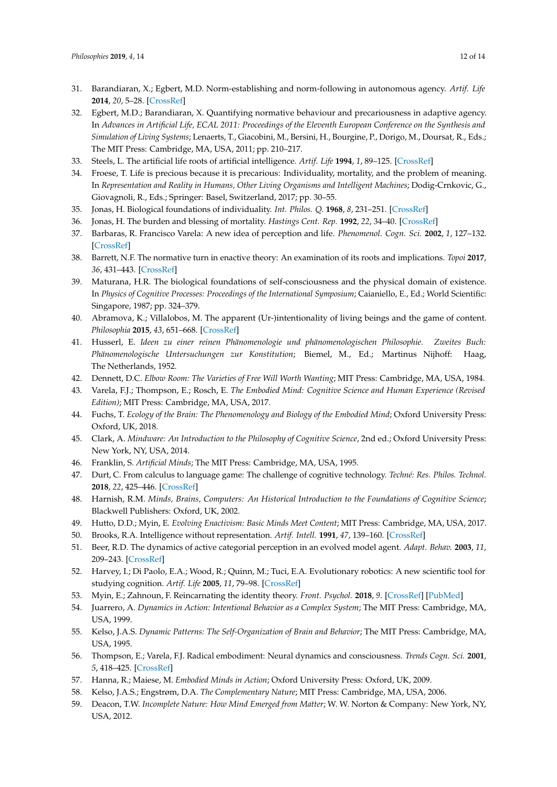- <span id="page-11-0"></span>31. Barandiaran, X.; Egbert, M.D. Norm-establishing and norm-following in autonomous agency. *Artif. Life* **2014**, *20*, 5–28. [\[CrossRef\]](http://dx.doi.org/10.1162/ARTL_a_00094)
- <span id="page-11-1"></span>32. Egbert, M.D.; Barandiaran, X. Quantifying normative behaviour and precariousness in adaptive agency. In *Advances in Artificial Life, ECAL 2011: Proceedings of the Eleventh European Conference on the Synthesis and Simulation of Living Systems*; Lenaerts, T., Giacobini, M., Bersini, H., Bourgine, P., Dorigo, M., Doursat, R., Eds.; The MIT Press: Cambridge, MA, USA, 2011; pp. 210–217.
- <span id="page-11-2"></span>33. Steels, L. The artificial life roots of artificial intelligence. *Artif. Life* **1994**, *1*, 89–125. [\[CrossRef\]](http://dx.doi.org/10.1162/artl.1993.1.1_2.75)
- <span id="page-11-3"></span>34. Froese, T. Life is precious because it is precarious: Individuality, mortality, and the problem of meaning. In *Representation and Reality in Humans, Other Living Organisms and Intelligent Machines*; Dodig-Crnkovic, G., Giovagnoli, R., Eds.; Springer: Basel, Switzerland, 2017; pp. 30–55.
- <span id="page-11-4"></span>35. Jonas, H. Biological foundations of individuality. *Int. Philos. Q.* **1968**, *8*, 231–251. [\[CrossRef\]](http://dx.doi.org/10.5840/ipq19688218)
- <span id="page-11-5"></span>36. Jonas, H. The burden and blessing of mortality. *Hastings Cent. Rep.* **1992**, *22*, 34–40. [\[CrossRef\]](http://dx.doi.org/10.2307/3562722)
- <span id="page-11-6"></span>37. Barbaras, R. Francisco Varela: A new idea of perception and life. *Phenomenol. Cogn. Sci.* **2002**, *1*, 127–132. [\[CrossRef\]](http://dx.doi.org/10.1023/A:1020332523809)
- <span id="page-11-7"></span>38. Barrett, N.F. The normative turn in enactive theory: An examination of its roots and implications. *Topoi* **2017**, *36*, 431–443. [\[CrossRef\]](http://dx.doi.org/10.1007/s11245-015-9355-y)
- <span id="page-11-8"></span>39. Maturana, H.R. The biological foundations of self-consciousness and the physical domain of existence. In *Physics of Cognitive Processes: Proceedings of the International Symposium*; Caianiello, E., Ed.; World Scientific: Singapore, 1987; pp. 324–379.
- <span id="page-11-9"></span>40. Abramova, K.; Villalobos, M. The apparent (Ur-)intentionality of living beings and the game of content. *Philosophia* **2015**, *43*, 651–668. [\[CrossRef\]](http://dx.doi.org/10.1007/s11406-015-9620-8)
- <span id="page-11-10"></span>41. Husserl, E. *Ideen zu einer reinen Phänomenologie und phänomenologischen Philosophie. Zweites Buch: Phänomenologische Untersuchungen zur Konstitution*; Biemel, M., Ed.; Martinus Nijhoff: Haag, The Netherlands, 1952.
- <span id="page-11-11"></span>42. Dennett, D.C. *Elbow Room: The Varieties of Free Will Worth Wanting*; MIT Press: Cambridge, MA, USA, 1984.
- <span id="page-11-12"></span>43. Varela, F.J.; Thompson, E.; Rosch, E. *The Embodied Mind: Cognitive Science and Human Experience (Revised Edition)*; MIT Press: Cambridge, MA, USA, 2017.
- <span id="page-11-13"></span>44. Fuchs, T. *Ecology of the Brain: The Phenomenology and Biology of the Embodied Mind*; Oxford University Press: Oxford, UK, 2018.
- <span id="page-11-14"></span>45. Clark, A. *Mindware: An Introduction to the Philosophy of Cognitive Science*, 2nd ed.; Oxford University Press: New York, NY, USA, 2014.
- <span id="page-11-15"></span>46. Franklin, S. *Artificial Minds*; The MIT Press: Cambridge, MA, USA, 1995.
- <span id="page-11-16"></span>47. Durt, C. From calculus to language game: The challenge of cognitive technology. *Techné: Res. Philos. Technol.* **2018**, *22*, 425–446. [\[CrossRef\]](http://dx.doi.org/10.5840/techne2018122091)
- <span id="page-11-17"></span>48. Harnish, R.M. *Minds, Brains, Computers: An Historical Introduction to the Foundations of Cognitive Science*; Blackwell Publishers: Oxford, UK, 2002.
- <span id="page-11-18"></span>49. Hutto, D.D.; Myin, E. *Evolving Enactivism: Basic Minds Meet Content*; MIT Press: Cambridge, MA, USA, 2017.
- <span id="page-11-19"></span>50. Brooks, R.A. Intelligence without representation. *Artif. Intell.* **1991**, *47*, 139–160. [\[CrossRef\]](http://dx.doi.org/10.1016/0004-3702(91)90053-M)
- <span id="page-11-20"></span>51. Beer, R.D. The dynamics of active categorial perception in an evolved model agent. *Adapt. Behav.* **2003**, *11*, 209–243. [\[CrossRef\]](http://dx.doi.org/10.1177/1059712303114001)
- <span id="page-11-21"></span>52. Harvey, I.; Di Paolo, E.A.; Wood, R.; Quinn, M.; Tuci, E.A. Evolutionary robotics: A new scientific tool for studying cognition. *Artif. Life* **2005**, *11*, 79–98. [\[CrossRef\]](http://dx.doi.org/10.1162/1064546053278991)
- <span id="page-11-22"></span>53. Myin, E.; Zahnoun, F. Reincarnating the identity theory. *Front. Psychol.* **2018**, *9*. [\[CrossRef\]](http://dx.doi.org/10.3389/fpsyg.2018.02044) [\[PubMed\]](http://www.ncbi.nlm.nih.gov/pubmed/30405507)
- <span id="page-11-23"></span>54. Juarrero, A. *Dynamics in Action: Intentional Behavior as a Complex System*; The MIT Press: Cambridge, MA, USA, 1999.
- 55. Kelso, J.A.S. *Dynamic Patterns: The Self-Organization of Brain and Behavior*; The MIT Press: Cambridge, MA, USA, 1995.
- 56. Thompson, E.; Varela, F.J. Radical embodiment: Neural dynamics and consciousness. *Trends Cogn. Sci.* **2001**, *5*, 418–425. [\[CrossRef\]](http://dx.doi.org/10.1016/S1364-6613(00)01750-2)
- <span id="page-11-24"></span>57. Hanna, R.; Maiese, M. *Embodied Minds in Action*; Oxford University Press: Oxford, UK, 2009.
- <span id="page-11-25"></span>58. Kelso, J.A.S.; Engstrøm, D.A. *The Complementary Nature*; MIT Press: Cambridge, MA, USA, 2006.
- <span id="page-11-26"></span>59. Deacon, T.W. *Incomplete Nature: How Mind Emerged from Matter*; W. W. Norton & Company: New York, NY, USA, 2012.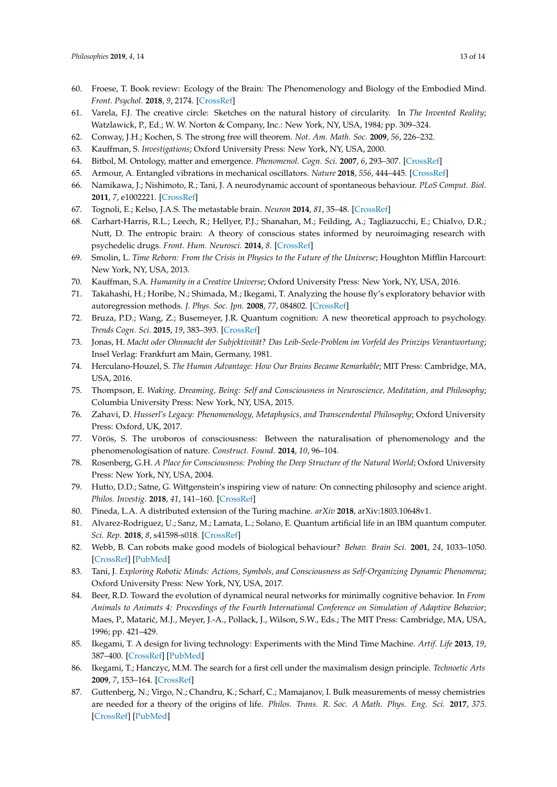- <span id="page-12-0"></span>60. Froese, T. Book review: Ecology of the Brain: The Phenomenology and Biology of the Embodied Mind. *Front. Psychol.* **2018**, *9*, 2174. [\[CrossRef\]](http://dx.doi.org/10.3389/fpsyg.2018.02174)
- <span id="page-12-1"></span>61. Varela, F.J. The creative circle: Sketches on the natural history of circularity. In *The Invented Reality*; Watzlawick, P., Ed.; W. W. Norton & Company, Inc.: New York, NY, USA, 1984; pp. 309–324.
- <span id="page-12-2"></span>62. Conway, J.H.; Kochen, S. The strong free will theorem. *Not. Am. Math. Soc.* **2009**, *56*, 226–232.
- <span id="page-12-3"></span>63. Kauffman, S. *Investigations*; Oxford University Press: New York, NY, USA, 2000.
- <span id="page-12-4"></span>64. Bitbol, M. Ontology, matter and emergence. *Phenomenol. Cogn. Sci.* **2007**, *6*, 293–307. [\[CrossRef\]](http://dx.doi.org/10.1007/s11097-006-9041-z)
- <span id="page-12-6"></span><span id="page-12-5"></span>65. Armour, A. Entangled vibrations in mechanical oscillators. *Nature* **2018**, *556*, 444–445. [\[CrossRef\]](http://dx.doi.org/10.1038/d41586-018-04827-5)
- 66. Namikawa, J.; Nishimoto, R.; Tani, J. A neurodynamic account of spontaneous behaviour. *PLoS Comput. Biol.* **2011**, *7*, e1002221. [\[CrossRef\]](http://dx.doi.org/10.1371/journal.pcbi.1002221)
- <span id="page-12-7"></span>67. Tognoli, E.; Kelso, J.A.S. The metastable brain. *Neuron* **2014**, *81*, 35–48. [\[CrossRef\]](http://dx.doi.org/10.1016/j.neuron.2013.12.022)
- <span id="page-12-8"></span>68. Carhart-Harris, R.L.; Leech, R.; Hellyer, P.J.; Shanahan, M.; Feilding, A.; Tagliazucchi, E.; Chialvo, D.R.; Nutt, D. The entropic brain: A theory of conscious states informed by neuroimaging research with psychedelic drugs. *Front. Hum. Neurosci.* **2014**, *8*. [\[CrossRef\]](http://dx.doi.org/10.3389/fnhum.2014.00020)
- <span id="page-12-13"></span>69. Smolin, L. *Time Reborn: From the Crisis in Physics to the Future of the Universe*; Houghton Mifflin Harcourt: New York, NY, USA, 2013.
- <span id="page-12-14"></span>70. Kauffman, S.A. *Humanity in a Creative Universe*; Oxford University Press: New York, NY, USA, 2016.
- <span id="page-12-9"></span>71. Takahashi, H.; Horibe, N.; Shimada, M.; Ikegami, T. Analyzing the house fly's exploratory behavior with autoregression methods. *J. Phys. Soc. Jpn.* **2008**, *77*, 084802. [\[CrossRef\]](http://dx.doi.org/10.1143/JPSJ.77.084802)
- <span id="page-12-10"></span>72. Bruza, P.D.; Wang, Z.; Busemeyer, J.R. Quantum cognition: A new theoretical approach to psychology. *Trends Cogn. Sci.* **2015**, *19*, 383–393. [\[CrossRef\]](http://dx.doi.org/10.1016/j.tics.2015.05.001)
- <span id="page-12-11"></span>73. Jonas, H. *Macht oder Ohnmacht der Subjektivität? Das Leib-Seele-Problem im Vorfeld des Prinzips Verantwortung*; Insel Verlag: Frankfurt am Main, Germany, 1981.
- <span id="page-12-12"></span>74. Herculano-Houzel, S. *The Human Advantage: How Our Brains Became Remarkable*; MIT Press: Cambridge, MA, USA, 2016.
- <span id="page-12-15"></span>75. Thompson, E. *Waking, Dreaming, Being: Self and Consciousness in Neuroscience, Meditation, and Philosophy*; Columbia University Press: New York, NY, USA, 2015.
- <span id="page-12-16"></span>76. Zahavi, D. *Husserl's Legacy: Phenomenology, Metaphysics, and Transcendental Philosophy*; Oxford University Press: Oxford, UK, 2017.
- <span id="page-12-17"></span>77. Vörös, S. The uroboros of consciousness: Between the naturalisation of phenomenology and the phenomenologisation of nature. *Construct. Found.* **2014**, *10*, 96–104.
- <span id="page-12-19"></span>78. Rosenberg, G.H. *A Place for Consciousness: Probing the Deep Structure of the Natural World*; Oxford University Press: New York, NY, USA, 2004.
- <span id="page-12-20"></span>79. Hutto, D.D.; Satne, G. Wittgenstein's inspiring view of nature: On connecting philosophy and science aright. *Philos. Investig.* **2018**, *41*, 141–160. [\[CrossRef\]](http://dx.doi.org/10.1111/phin.12193)
- <span id="page-12-18"></span>80. Pineda, L.A. A distributed extension of the Turing machine. *arXiv* **2018**, arXiv:1803.10648v1.
- <span id="page-12-21"></span>81. Alvarez-Rodriguez, U.; Sanz, M.; Lamata, L.; Solano, E. Quantum artificial life in an IBM quantum computer. *Sci. Rep.* **2018**, *8*, s41598-s018. [\[CrossRef\]](http://dx.doi.org/10.1038/s41598-018-33125-3)
- <span id="page-12-22"></span>82. Webb, B. Can robots make good models of biological behaviour? *Behav. Brain Sci.* **2001**, *24*, 1033–1050. [\[CrossRef\]](http://dx.doi.org/10.1017/S0140525X01000127) [\[PubMed\]](http://www.ncbi.nlm.nih.gov/pubmed/12412325)
- <span id="page-12-23"></span>83. Tani, J. *Exploring Robotic Minds: Actions, Symbols, and Consciousness as Self-Organizing Dynamic Phenomena*; Oxford University Press: New York, NY, USA, 2017.
- <span id="page-12-24"></span>84. Beer, R.D. Toward the evolution of dynamical neural networks for minimally cognitive behavior. In *From Animals to Animats 4: Proceedings of the Fourth International Conference on Simulation of Adaptive Behavior*; Maes, P., Matarić, M.J., Meyer, J.-A., Pollack, J., Wilson, S.W., Eds.; The MIT Press: Cambridge, MA, USA, 1996; pp. 421–429.
- <span id="page-12-25"></span>85. Ikegami, T. A design for living technology: Experiments with the Mind Time Machine. *Artif. Life* **2013**, *19*, 387–400. [\[CrossRef\]](http://dx.doi.org/10.1162/ARTL_a_00113) [\[PubMed\]](http://www.ncbi.nlm.nih.gov/pubmed/23834591)
- <span id="page-12-26"></span>86. Ikegami, T.; Hanczyc, M.M. The search for a first cell under the maximalism design principle. *Technoetic Arts* **2009**, *7*, 153–164. [\[CrossRef\]](http://dx.doi.org/10.1386/tear.7.2.153/1)
- <span id="page-12-27"></span>87. Guttenberg, N.; Virgo, N.; Chandru, K.; Scharf, C.; Mamajanov, I. Bulk measurements of messy chemistries are needed for a theory of the origins of life. *Philos. Trans. R. Soc. A Math. Phys. Eng. Sci.* **2017**, *375*. [\[CrossRef\]](http://dx.doi.org/10.1098/rsta.2016.0347) [\[PubMed\]](http://www.ncbi.nlm.nih.gov/pubmed/29133446)